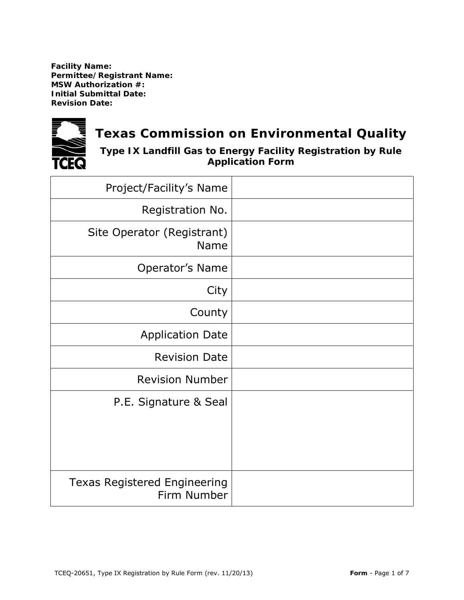**Facility Name: Permittee/Registrant Name: MSW Authorization #: Initial Submittal Date: Revision Date:** 



# **Texas Commission on Environmental Quality**

**Type IX Landfill Gas to Energy Facility Registration by Rule Application Form**

| Project/Facility's Name                            |  |
|----------------------------------------------------|--|
| Registration No.                                   |  |
| Site Operator (Registrant)<br><b>Name</b>          |  |
| Operator's Name                                    |  |
| City                                               |  |
| County                                             |  |
| <b>Application Date</b>                            |  |
| <b>Revision Date</b>                               |  |
| <b>Revision Number</b>                             |  |
| P.E. Signature & Seal                              |  |
| <b>Texas Registered Engineering</b><br>Firm Number |  |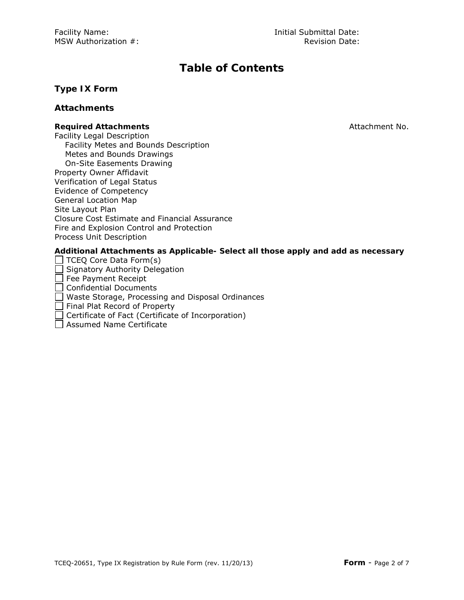## **Table of Contents**

#### **Type IX Form**

#### **Attachments**

#### **Required Attachments Attachments Required Attachment No.**

Facility Legal Description Facility Metes and Bounds Description Metes and Bounds Drawings On-Site Easements Drawing Property Owner Affidavit Verification of Legal Status Evidence of Competency General Location Map Site Layout Plan Closure Cost Estimate and Financial Assurance Fire and Explosion Control and Protection Process Unit Description

**Additional Attachments as Applicable- Select all those apply and add as necessary**

 $\Box$  TCEQ Core Data Form(s)

Signatory Authority Delegation

Fee Payment Receipt

□ Confidential Documents

Waste Storage, Processing and Disposal Ordinances

Final Plat Record of Property

 $\Box$  Certificate of Fact (Certificate of Incorporation)

 $\Box$  Assumed Name Certificate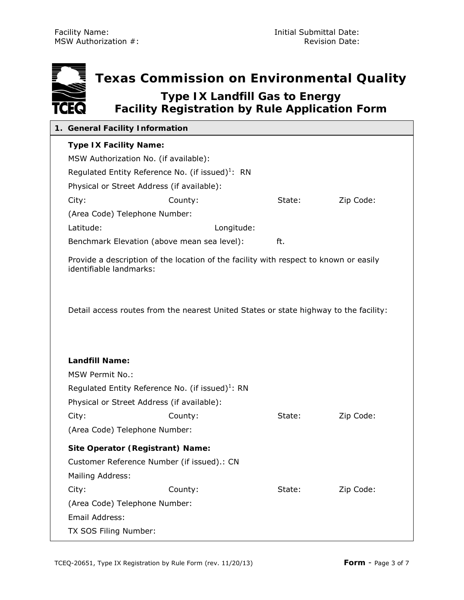÷

|             | Texas Commission on Environmental Quality                                                      |
|-------------|------------------------------------------------------------------------------------------------|
| <b>TCEQ</b> | <b>Type IX Landfill Gas to Energy</b><br><b>Facility Registration by Rule Application Form</b> |

| 1. General Facility Information                              |                                                                                       |        |           |
|--------------------------------------------------------------|---------------------------------------------------------------------------------------|--------|-----------|
| <b>Type IX Facility Name:</b>                                |                                                                                       |        |           |
| MSW Authorization No. (if available):                        |                                                                                       |        |           |
| Regulated Entity Reference No. (if issued) <sup>1</sup> : RN |                                                                                       |        |           |
| Physical or Street Address (if available):                   |                                                                                       |        |           |
| City:                                                        | County:                                                                               | State: | Zip Code: |
| (Area Code) Telephone Number:                                |                                                                                       |        |           |
| Latitude:                                                    | Longitude:                                                                            |        |           |
| Benchmark Elevation (above mean sea level):                  |                                                                                       | ft.    |           |
| identifiable landmarks:                                      | Provide a description of the location of the facility with respect to known or easily |        |           |
|                                                              | Detail access routes from the nearest United States or state highway to the facility: |        |           |
| <b>Landfill Name:</b>                                        |                                                                                       |        |           |
| <b>MSW Permit No.:</b>                                       |                                                                                       |        |           |
|                                                              |                                                                                       |        |           |
|                                                              | Regulated Entity Reference No. (if issued) $1$ : RN                                   |        |           |
| Physical or Street Address (if available):                   |                                                                                       |        |           |
| City:                                                        | County:                                                                               | State: | Zip Code: |
| (Area Code) Telephone Number:                                |                                                                                       |        |           |
| <b>Site Operator (Registrant) Name:</b>                      |                                                                                       |        |           |
| Customer Reference Number (if issued).: CN                   |                                                                                       |        |           |
| Mailing Address:                                             |                                                                                       |        |           |
| City:                                                        | County:                                                                               | State: | Zip Code: |
| (Area Code) Telephone Number:                                |                                                                                       |        |           |
| Email Address:                                               |                                                                                       |        |           |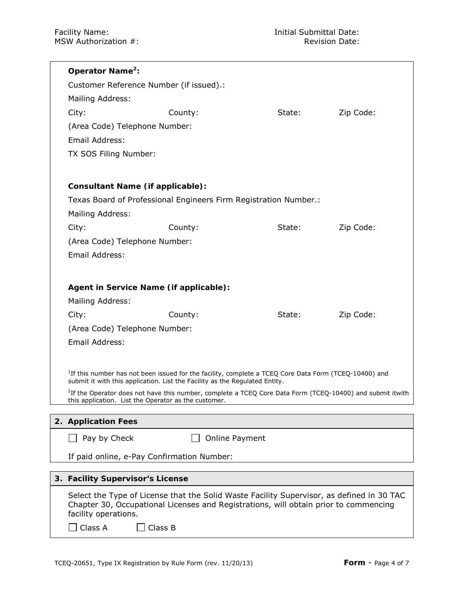| Operator Name <sup>2</sup> :                         |                                                                                                                                                                                                  |        |           |
|------------------------------------------------------|--------------------------------------------------------------------------------------------------------------------------------------------------------------------------------------------------|--------|-----------|
| Customer Reference Number (if issued).:              |                                                                                                                                                                                                  |        |           |
| Mailing Address:                                     |                                                                                                                                                                                                  |        |           |
| City:                                                | County:                                                                                                                                                                                          | State: | Zip Code: |
| (Area Code) Telephone Number:                        |                                                                                                                                                                                                  |        |           |
| Email Address:                                       |                                                                                                                                                                                                  |        |           |
| TX SOS Filing Number:                                |                                                                                                                                                                                                  |        |           |
|                                                      |                                                                                                                                                                                                  |        |           |
| <b>Consultant Name (if applicable):</b>              |                                                                                                                                                                                                  |        |           |
|                                                      | Texas Board of Professional Engineers Firm Registration Number.:                                                                                                                                 |        |           |
| Mailing Address:                                     |                                                                                                                                                                                                  |        |           |
| City:                                                | County:                                                                                                                                                                                          | State: | Zip Code: |
| (Area Code) Telephone Number:                        |                                                                                                                                                                                                  |        |           |
| Email Address:                                       |                                                                                                                                                                                                  |        |           |
|                                                      |                                                                                                                                                                                                  |        |           |
|                                                      |                                                                                                                                                                                                  |        |           |
| Agent in Service Name (if applicable):               |                                                                                                                                                                                                  |        |           |
| Mailing Address:                                     |                                                                                                                                                                                                  |        |           |
| City:                                                | County:                                                                                                                                                                                          | State: | Zip Code: |
| (Area Code) Telephone Number:                        |                                                                                                                                                                                                  |        |           |
| Email Address:                                       |                                                                                                                                                                                                  |        |           |
|                                                      |                                                                                                                                                                                                  |        |           |
|                                                      | <sup>7</sup> If this number has not been issued for the facility, complete a TCEQ Core Data Form (TCEQ-10400) and<br>submit it with this application. List the Facility as the Regulated Entity. |        |           |
|                                                      | <sup>2</sup> If the Operator does not have this number, complete a TCEQ Core Data Form (TCEQ-10400) and submit itwith                                                                            |        |           |
| this application. List the Operator as the customer. |                                                                                                                                                                                                  |        |           |
| 2. Application Fees                                  |                                                                                                                                                                                                  |        |           |
| Pay by Check                                         | <b>Online Payment</b>                                                                                                                                                                            |        |           |
|                                                      |                                                                                                                                                                                                  |        |           |
| If paid online, e-Pay Confirmation Number:           |                                                                                                                                                                                                  |        |           |
| 3. Facility Supervisor's License                     |                                                                                                                                                                                                  |        |           |
|                                                      | Select the Type of License that the Solid Waste Facility Supervisor, as defined in 30 TAC                                                                                                        |        |           |
|                                                      | Chapter 30, Occupational Licenses and Registrations, will obtain prior to commencing                                                                                                             |        |           |
| facility operations.                                 |                                                                                                                                                                                                  |        |           |
| Class A<br>Class B                                   |                                                                                                                                                                                                  |        |           |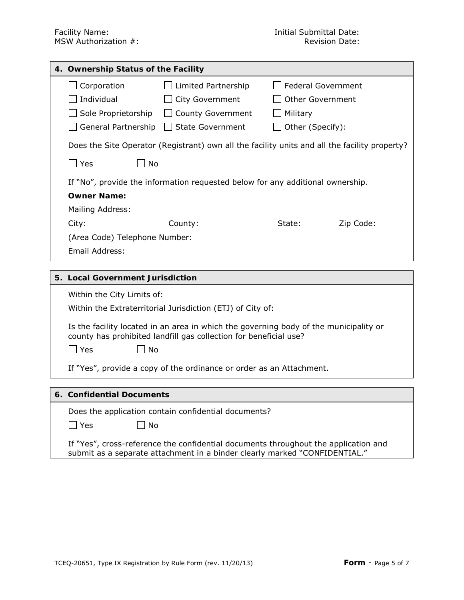| 4. Ownership Status of the Facility |                                                                                               |                         |           |
|-------------------------------------|-----------------------------------------------------------------------------------------------|-------------------------|-----------|
| Corporation                         | Limited Partnership                                                                           | Federal Government      |           |
| Individual                          | $\Box$ City Government                                                                        | <b>Other Government</b> |           |
| Sole Proprietorship                 | County Government                                                                             | Military                |           |
| General Partnership                 | <b>State Government</b>                                                                       | Other (Specify):        |           |
|                                     | Does the Site Operator (Registrant) own all the facility units and all the facility property? |                         |           |
| Yes<br>No.                          |                                                                                               |                         |           |
|                                     | If "No", provide the information requested below for any additional ownership.                |                         |           |
| <b>Owner Name:</b>                  |                                                                                               |                         |           |
| Mailing Address:                    |                                                                                               |                         |           |
| City:                               | County:                                                                                       | State:                  | Zip Code: |
| (Area Code) Telephone Number:       |                                                                                               |                         |           |
| Email Address:                      |                                                                                               |                         |           |
|                                     |                                                                                               |                         |           |

#### **5. Local Government Jurisdiction**

Within the City Limits of:

Within the Extraterritorial Jurisdiction (ETJ) of City of:

Is the facility located in an area in which the governing body of the municipality or county has prohibited landfill gas collection for beneficial use?

 $\Box$  Yes  $\Box$  No

If "Yes", provide a copy of the ordinance or order as an Attachment.

#### **6. Confidential Documents**

Does the application contain confidential documents?

 $\Box$  Yes  $\Box$  No

If "Yes", cross-reference the confidential documents throughout the application and submit as a separate attachment in a binder clearly marked "CONFIDENTIAL."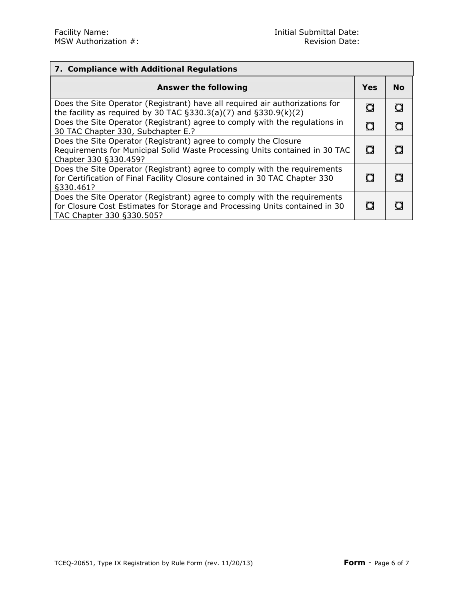| 7. Compliance with Additional Regulations                                                                                                                                             |            |           |
|---------------------------------------------------------------------------------------------------------------------------------------------------------------------------------------|------------|-----------|
| Answer the following                                                                                                                                                                  | <b>Yes</b> | <b>No</b> |
| Does the Site Operator (Registrant) have all required air authorizations for<br>the facility as required by 30 TAC $\S$ 330.3(a)(7) and $\S$ 330.9(k)(2)                              | O          | O         |
| Does the Site Operator (Registrant) agree to comply with the regulations in<br>30 TAC Chapter 330, Subchapter E.?                                                                     | O          | O         |
| Does the Site Operator (Registrant) agree to comply the Closure<br>Requirements for Municipal Solid Waste Processing Units contained in 30 TAC<br>Chapter 330 §330.459?               | $\circ$    | O         |
| Does the Site Operator (Registrant) agree to comply with the requirements<br>for Certification of Final Facility Closure contained in 30 TAC Chapter 330<br>\$330.461?                | O          |           |
| Does the Site Operator (Registrant) agree to comply with the requirements<br>for Closure Cost Estimates for Storage and Processing Units contained in 30<br>TAC Chapter 330 §330.505? | O          |           |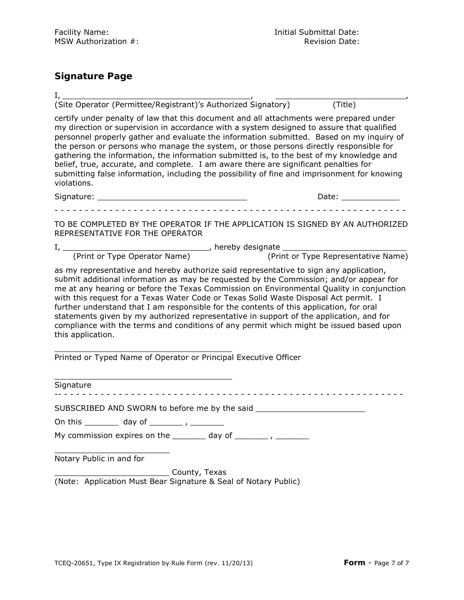### **Signature Page**

I, \_\_\_\_\_\_\_\_\_\_\_\_\_\_\_\_\_\_\_\_\_\_\_\_\_\_\_\_\_\_\_\_\_\_\_\_\_\_\_, \_\_\_\_\_\_\_\_\_\_\_\_\_\_\_\_\_\_\_\_\_\_\_\_\_\_\_, (Site Operator (Permittee/Registrant)'s Authorized Signatory) (Title)

certify under penalty of law that this document and all attachments were prepared under my direction or supervision in accordance with a system designed to assure that qualified personnel properly gather and evaluate the information submitted. Based on my inquiry of the person or persons who manage the system, or those persons directly responsible for gathering the information, the information submitted is, to the best of my knowledge and belief, true, accurate, and complete. I am aware there are significant penalties for submitting false information, including the possibility of fine and imprisonment for knowing violations.

| -<br>ure:<br>.<br>51 C<br>-<br>_ _ _ | . $\lambda$<br>Dale: |
|--------------------------------------|----------------------|
|                                      |                      |

- - - - - - - - - - - - - - - - - - - - - - - - - - - - - - - - - - - - - - - - - - - - - - - - - - - - - - - - - -

TO BE COMPLETED BY THE OPERATOR IF THE APPLICATION IS SIGNED BY AN AUTHORIZED REPRESENTATIVE FOR THE OPERATOR

I, \_\_\_\_\_\_\_\_\_\_\_\_\_\_\_\_\_\_\_\_\_\_\_\_\_\_\_\_\_\_\_, hereby designate \_\_\_\_\_\_\_\_\_\_\_\_\_\_\_\_\_\_\_\_\_\_\_\_\_\_ (Print or Type Operator Name) (Print or Type Representative Name)

as my representative and hereby authorize said representative to sign any application, submit additional information as may be requested by the Commission; and/or appear for me at any hearing or before the Texas Commission on Environmental Quality in conjunction with this request for a Texas Water Code or Texas Solid Waste Disposal Act permit. I further understand that I am responsible for the contents of this application, for oral statements given by my authorized representative in support of the application, and for compliance with the terms and conditions of any permit which might be issued based upon this application.

\_\_\_\_\_\_\_\_\_\_\_\_\_\_\_\_\_\_\_\_\_\_\_\_\_\_\_\_\_\_\_\_\_\_\_\_\_ Printed or Typed Name of Operator or Principal Executive Officer

Signature

-- - - - - - - - - - - - - - - - - - - - - - - - - - - - - - - - - - - - - - - - - - - - - - - - - - - - - - - - -

SUBSCRIBED AND SWORN to before me by the said

On this \_\_\_\_\_\_\_ day of \_\_\_\_\_\_\_ , \_\_\_\_\_\_\_

\_\_\_\_\_\_\_\_\_\_\_\_\_\_\_\_\_\_\_\_\_\_\_\_\_\_\_\_\_\_\_\_\_\_\_\_\_

My commission expires on the  $\qquad \qquad \qquad$  day of  $\qquad \qquad$ 

\_\_\_\_\_\_\_\_\_\_\_\_\_\_\_\_\_\_\_\_\_\_\_\_ Notary Public in and for

\_\_\_\_\_\_\_\_\_\_\_\_\_\_\_\_\_\_\_\_\_\_\_\_ County, Texas (Note: Application Must Bear Signature & Seal of Notary Public)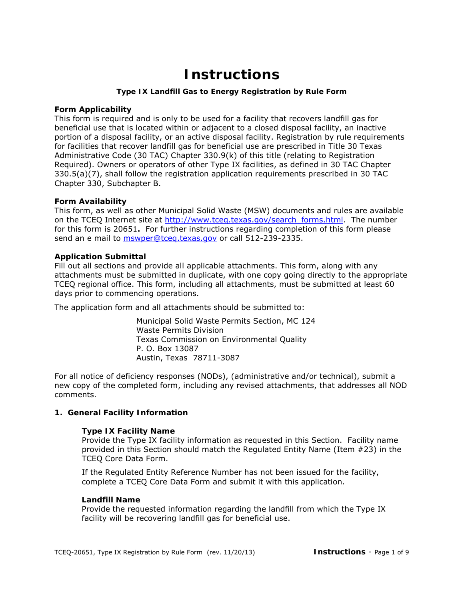## **Instructions**

#### **Type IX Landfill Gas to Energy Registration by Rule Form**

#### **Form Applicability**

This form is required and is only to be used for a facility that recovers landfill gas for beneficial use that is located within or adjacent to a closed disposal facility, an inactive portion of a disposal facility, or an active disposal facility. Registration by rule requirements for facilities that recover landfill gas for beneficial use are prescribed in Title 30 Texas Administrative Code (30 TAC) Chapter 330.9(k) of this title (relating to Registration Required). Owners or operators of other Type IX facilities, as defined in 30 TAC Chapter 330.5(a)(7), shall follow the registration application requirements prescribed in 30 TAC Chapter 330, Subchapter B.

#### **Form Availability**

This form, as well as other Municipal Solid Waste (MSW) documents and rules are available on the TCEQ Internet site at [http://www.tceq.texas.gov/search\\_forms.html.](http://www.tceq.texas.gov/search_forms.html) The number for this form is 20651**.** For further instructions regarding completion of this form please send an e mail to [mswper@tceq.texas.gov](mailto:mswper@tceq.texas.gov) or call 512-239-2335.

#### **Application Submittal**

Fill out all sections and provide all applicable attachments. This form, along with any attachments must be submitted in duplicate, with one copy going directly to the appropriate TCEQ regional office. This form, including all attachments, must be submitted at least 60 days prior to commencing operations.

The application form and all attachments should be submitted to:

Municipal Solid Waste Permits Section, MC 124 Waste Permits Division Texas Commission on Environmental Quality P. O. Box 13087 Austin, Texas 78711-3087

For all notice of deficiency responses (NODs), (administrative and/or technical), submit a new copy of the completed form, including any revised attachments, that addresses all NOD comments.

#### **1. General Facility Information**

#### **Type IX Facility Name**

Provide the Type IX facility information as requested in this Section. Facility name provided in this Section should match the Regulated Entity Name (Item #23) in the TCEQ Core Data Form.

If the Regulated Entity Reference Number has not been issued for the facility, complete a TCEQ Core Data Form and submit it with this application.

#### **Landfill Name**

Provide the requested information regarding the landfill from which the Type IX facility will be recovering landfill gas for beneficial use.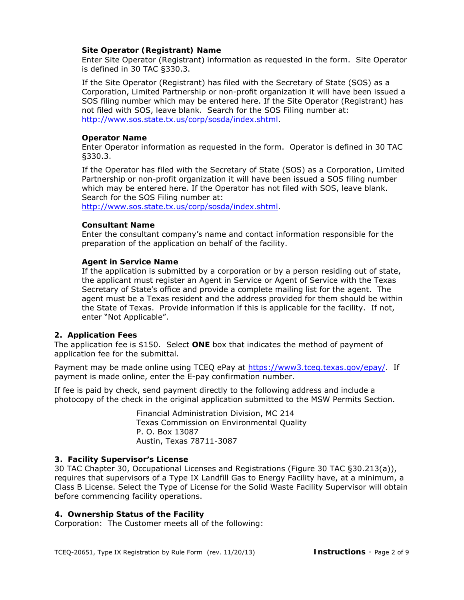#### **Site Operator (Registrant) Name**

Enter Site Operator (Registrant) information as requested in the form. Site Operator is defined in 30 TAC §330.3.

If the Site Operator (Registrant) has filed with the Secretary of State (SOS) as a Corporation, Limited Partnership or non-profit organization it will have been issued a SOS filing number which may be entered here. If the Site Operator (Registrant) has not filed with SOS, leave blank. Search for the SOS Filing number at: [http://www.sos.state.tx.us/corp/sosda/index.shtml.](http://www.sos.state.tx.us/corp/sosda/index.shtml)

#### **Operator Name**

Enter Operator information as requested in the form. Operator is defined in 30 TAC §330.3.

If the Operator has filed with the Secretary of State (SOS) as a Corporation, Limited Partnership or non-profit organization it will have been issued a SOS filing number which may be entered here. If the Operator has not filed with SOS, leave blank. Search for the SOS Filing number at:

[http://www.sos.state.tx.us/corp/sosda/index.shtml.](http://www.sos.state.tx.us/corp/sosda/index.shtml)

#### **Consultant Name**

Enter the consultant company's name and contact information responsible for the preparation of the application on behalf of the facility.

#### **Agent in Service Name**

If the application is submitted by a corporation or by a person residing out of state, the applicant must register an Agent in Service or Agent of Service with the Texas Secretary of State's office and provide a complete mailing list for the agent. The agent must be a Texas resident and the address provided for them should be within the State of Texas. Provide information if this is applicable for the facility. If not, enter "Not Applicable".

#### **2. Application Fees**

The application fee is \$150. Select **ONE** box that indicates the method of payment of application fee for the submittal.

Payment may be made online using TCEQ ePay at https://www3.tceq.[texas.gov](https://www3.tceq.texas.gov/epay/)/epay/. If payment is made online, enter the E-pay confirmation number.

If fee is paid by check, send payment directly to the following address and include a photocopy of the check in the original application submitted to the MSW Permits Section.

> Financial Administration Division, MC 214 Texas Commission on Environmental Quality P. O. Box 13087 Austin, Texas 78711-3087

#### **3. Facility Supervisor's License**

30 TAC Chapter 30, Occupational Licenses and Registrations (Figure 30 TAC §30.213(a)), requires that supervisors of a Type IX Landfill Gas to Energy Facility have, at a minimum, a Class B License. Select the Type of License for the Solid Waste Facility Supervisor will obtain before commencing facility operations.

#### **4. Ownership Status of the Facility**

Corporation: The Customer meets all of the following: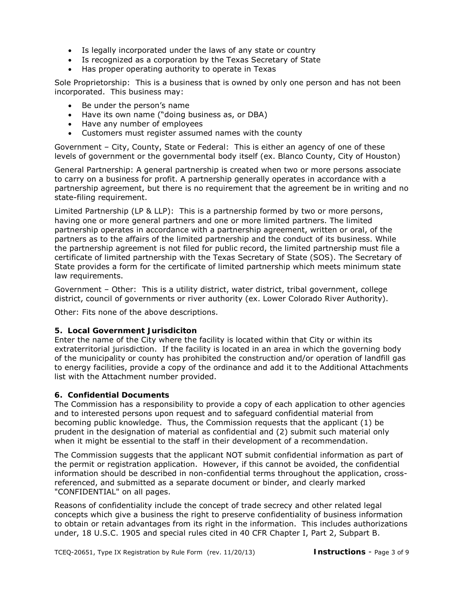- Is legally incorporated under the laws of any state or country
- Is recognized as a corporation by the Texas Secretary of State
- Has proper operating authority to operate in Texas

Sole Proprietorship: This is a business that is owned by only one person and has not been incorporated. This business may:

- Be under the person's name
- Have its own name ("doing business as, or DBA)
- Have any number of employees
- Customers must register assumed names with the county

Government – City, County, State or Federal: This is either an agency of one of these levels of government or the governmental body itself (ex. Blanco County, City of Houston)

General Partnership: A general partnership is created when two or more persons associate to carry on a business for profit. A partnership generally operates in accordance with a partnership agreement, but there is no requirement that the agreement be in writing and no state-filing requirement.

Limited Partnership (LP & LLP): This is a partnership formed by two or more persons, having one or more general partners and one or more limited partners. The limited partnership operates in accordance with a partnership agreement, written or oral, of the partners as to the affairs of the limited partnership and the conduct of its business. While the partnership agreement is not filed for public record, the limited partnership must file a certificate of limited partnership with the Texas Secretary of State (SOS). The Secretary of State provides a form for the certificate of limited partnership which meets minimum state law requirements.

Government – Other: This is a utility district, water district, tribal government, college district, council of governments or river authority (ex. Lower Colorado River Authority).

Other: Fits none of the above descriptions.

#### **5. Local Government Jurisdiciton**

Enter the name of the City where the facility is located within that City or within its extraterritorial jurisdiction. If the facility is located in an area in which the governing body of the municipality or county has prohibited the construction and/or operation of landfill gas to energy facilities, provide a copy of the ordinance and add it to the Additional Attachments list with the Attachment number provided.

#### **6. Confidential Documents**

The Commission has a responsibility to provide a copy of each application to other agencies and to interested persons upon request and to safeguard confidential material from becoming public knowledge. Thus, the Commission requests that the applicant (1) be prudent in the designation of material as confidential and (2) submit such material only when it might be essential to the staff in their development of a recommendation.

The Commission suggests that the applicant NOT submit confidential information as part of the permit or registration application. However, if this cannot be avoided, the confidential information should be described in non-confidential terms throughout the application, crossreferenced, and submitted as a separate document or binder, and clearly marked "CONFIDENTIAL" on all pages.

Reasons of confidentiality include the concept of trade secrecy and other related legal concepts which give a business the right to preserve confidentiality of business information to obtain or retain advantages from its right in the information. This includes authorizations under, 18 U.S.C. 1905 and special rules cited in 40 CFR Chapter I, Part 2, Subpart B.

TCEQ-20651, Type IX Registration by Rule Form (rev. 11/20/13) **Instructions** - Page 3 of 9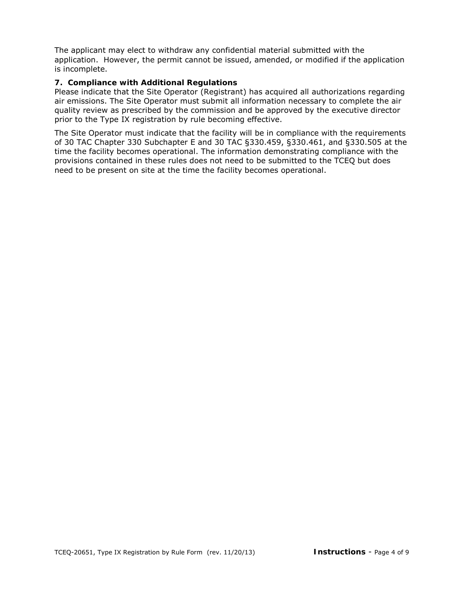The applicant may elect to withdraw any confidential material submitted with the application. However, the permit cannot be issued, amended, or modified if the application is incomplete.

#### **7. Compliance with Additional Regulations**

Please indicate that the Site Operator (Registrant) has acquired all authorizations regarding air emissions. The Site Operator must submit all information necessary to complete the air quality review as prescribed by the commission and be approved by the executive director prior to the Type IX registration by rule becoming effective.

The Site Operator must indicate that the facility will be in compliance with the requirements of 30 TAC Chapter 330 Subchapter E and 30 TAC §330.459, §330.461, and §330.505 at the time the facility becomes operational. The information demonstrating compliance with the provisions contained in these rules does not need to be submitted to the TCEQ but does need to be present on site at the time the facility becomes operational.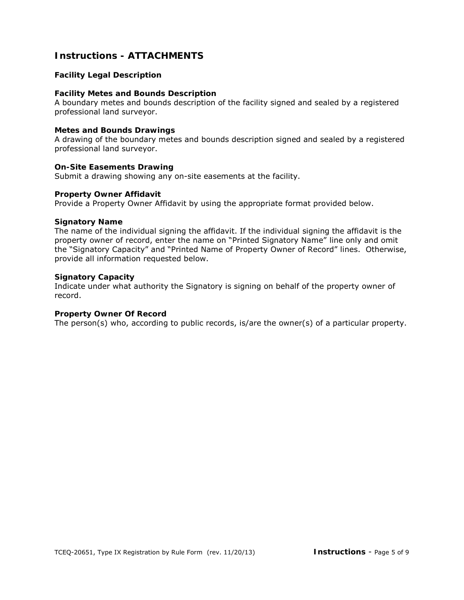## **Instructions - ATTACHMENTS**

#### **Facility Legal Description**

#### **Facility Metes and Bounds Description**

A boundary metes and bounds description of the facility signed and sealed by a registered professional land surveyor.

#### **Metes and Bounds Drawings**

A drawing of the boundary metes and bounds description signed and sealed by a registered professional land surveyor.

#### **On-Site Easements Drawing**

Submit a drawing showing any on-site easements at the facility.

#### **Property Owner Affidavit**

Provide a Property Owner Affidavit by using the appropriate format provided below.

#### **Signatory Name**

The name of the individual signing the affidavit. If the individual signing the affidavit is the property owner of record, enter the name on "Printed Signatory Name" line only and omit the "Signatory Capacity" and "Printed Name of Property Owner of Record" lines. Otherwise, provide all information requested below.

#### **Signatory Capacity**

Indicate under what authority the Signatory is signing on behalf of the property owner of record.

#### **Property Owner Of Record**

The person(s) who, according to public records, is/are the owner(s) of a particular property.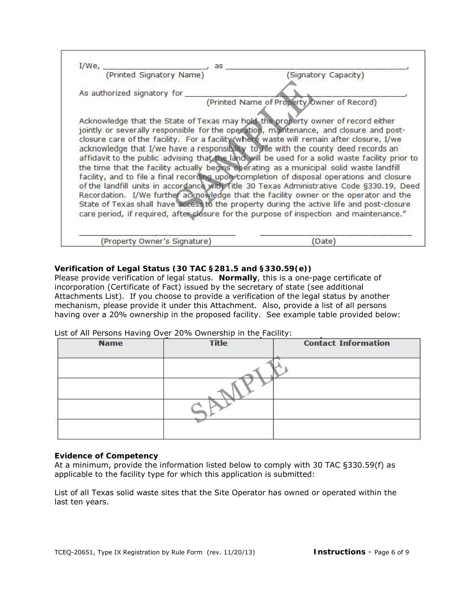| $I/We$ ,<br>as<br>(Printed Signatory Name)                                                                                                                                                                                                                                                                                                                                                                                                                                                                                                                                                                                                                  |                                            |
|-------------------------------------------------------------------------------------------------------------------------------------------------------------------------------------------------------------------------------------------------------------------------------------------------------------------------------------------------------------------------------------------------------------------------------------------------------------------------------------------------------------------------------------------------------------------------------------------------------------------------------------------------------------|--------------------------------------------|
|                                                                                                                                                                                                                                                                                                                                                                                                                                                                                                                                                                                                                                                             | (Signatory Capacity)                       |
| As authorized signatory for                                                                                                                                                                                                                                                                                                                                                                                                                                                                                                                                                                                                                                 |                                            |
| Acknowledge that the State of Texas may hold the property owner of record either<br>jointly or severally responsible for the operation, maintenance, and closure and post-<br>closure care of the facility. For a facility (where waste will remain after closure, I/we<br>acknowledge that I/we have a responsibility to file with the county deed records an<br>affidavit to the public advising that the land will be used for a solid waste facility prior to<br>the time that the facility actually begins operating as a municipal solid waste landfill<br>facility, and to file a final recording upon completion of disposal operations and closure | (Printed Name of Property Owner of Record) |
| of the landfill units in accordance with Title 30 Texas Administrative Code §330.19, Deed<br>Recordation. I/We further acknowledge that the facility owner or the operator and the<br>State of Texas shall have access to the property during the active life and post-closure<br>care period, if required, after closure for the purpose of inspection and maintenance."                                                                                                                                                                                                                                                                                   |                                            |
| (Property Owner's Signature)                                                                                                                                                                                                                                                                                                                                                                                                                                                                                                                                                                                                                                | (Date)                                     |

#### **Verification of Legal Status (30 TAC §281.5 and §330.59(e))**

Please provide verification of legal status. **Normally**, this is a one-page certificate of incorporation (Certificate of Fact) issued by the secretary of state (see additional Attachments List). If you choose to provide a verification of the legal status by another mechanism, please provide it under this Attachment. Also, provide a list of all persons having over a 20% ownership in the proposed facility. See example table provided below:

List of All Persons Having Over 20% Ownership in the Facility:

| <b>Name</b> | <b>Title</b> | <b>Contact Information</b> |
|-------------|--------------|----------------------------|
|             |              |                            |
|             |              |                            |
|             |              |                            |
|             |              |                            |

#### **Evidence of Competency**

At a minimum, provide the information listed below to comply with 30 TAC §330.59(f) as applicable to the facility type for which this application is submitted:

List of all Texas solid waste sites that the Site Operator has owned or operated within the last ten years.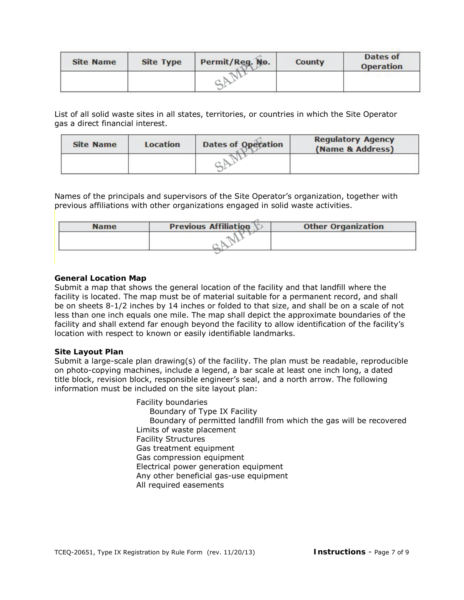| <b>Site Name</b> | <b>Site Type</b> | Permit/Req. No. | <b>County</b> | Dates of<br><b>Operation</b> |
|------------------|------------------|-----------------|---------------|------------------------------|
|                  |                  |                 |               |                              |

List of all solid waste sites in all states, territories, or countries in which the Site Operator gas a direct financial interest.

| <b>Site Name</b> | <b>Location</b> | <b>Dates of Operation</b> | <b>Regulatory Agency</b><br>(Name & Address) |
|------------------|-----------------|---------------------------|----------------------------------------------|
|                  |                 |                           |                                              |

Names of the principals and supervisors of the Site Operator's organization, together with previous affiliations with other organizations engaged in solid waste activities.

| <b>Name</b> | <b>Previous Affiliation</b> | <b>Other Organization</b> |  |
|-------------|-----------------------------|---------------------------|--|
|             |                             |                           |  |
|             |                             |                           |  |
|             |                             |                           |  |

#### **General Location Map**

Submit a map that shows the general location of the facility and that landfill where the facility is located. The map must be of material suitable for a permanent record, and shall be on sheets 8-1/2 inches by 14 inches or folded to that size, and shall be on a scale of not less than one inch equals one mile. The map shall depict the approximate boundaries of the facility and shall extend far enough beyond the facility to allow identification of the facility's location with respect to known or easily identifiable landmarks.

#### **Site Layout Plan**

Submit a large-scale plan drawing(s) of the facility. The plan must be readable, reproducible on photo-copying machines, include a legend, a bar scale at least one inch long, a dated title block, revision block, responsible engineer's seal, and a north arrow. The following information must be included on the site layout plan:

> Facility boundaries Boundary of Type IX Facility Boundary of permitted landfill from which the gas will be recovered Limits of waste placement Facility Structures Gas treatment equipment Gas compression equipment Electrical power generation equipment Any other beneficial gas-use equipment All required easements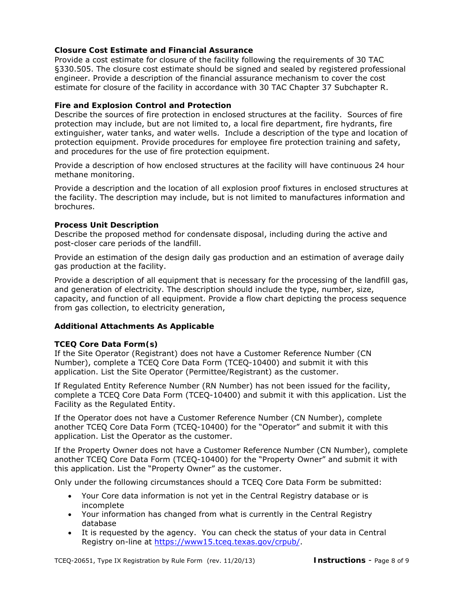#### **Closure Cost Estimate and Financial Assurance**

Provide a cost estimate for closure of the facility following the requirements of 30 TAC §330.505. The closure cost estimate should be signed and sealed by registered professional engineer. Provide a description of the financial assurance mechanism to cover the cost estimate for closure of the facility in accordance with 30 TAC Chapter 37 Subchapter R.

#### **Fire and Explosion Control and Protection**

Describe the sources of fire protection in enclosed structures at the facility. Sources of fire protection may include, but are not limited to, a local fire department, fire hydrants, fire extinguisher, water tanks, and water wells. Include a description of the type and location of protection equipment. Provide procedures for employee fire protection training and safety, and procedures for the use of fire protection equipment.

Provide a description of how enclosed structures at the facility will have continuous 24 hour methane monitoring.

Provide a description and the location of all explosion proof fixtures in enclosed structures at the facility. The description may include, but is not limited to manufactures information and brochures.

#### **Process Unit Description**

Describe the proposed method for condensate disposal, including during the active and post-closer care periods of the landfill.

Provide an estimation of the design daily gas production and an estimation of average daily gas production at the facility.

Provide a description of all equipment that is necessary for the processing of the landfill gas, and generation of electricity. The description should include the type, number, size, capacity, and function of all equipment. Provide a flow chart depicting the process sequence from gas collection, to electricity generation,

#### **Additional Attachments As Applicable**

#### **TCEQ Core Data Form(s)**

If the Site Operator (Registrant) does not have a Customer Reference Number (CN Number), complete a TCEQ Core Data Form (TCEQ-10400) and submit it with this application. List the Site Operator (Permittee/Registrant) as the customer.

If Regulated Entity Reference Number (RN Number) has not been issued for the facility, complete a TCEQ Core Data Form (TCEQ-10400) and submit it with this application. List the Facility as the Regulated Entity.

If the Operator does not have a Customer Reference Number (CN Number), complete another TCEQ Core Data Form (TCEQ-10400) for the "Operator" and submit it with this application. List the Operator as the customer.

If the Property Owner does not have a Customer Reference Number (CN Number), complete another TCEQ Core Data Form (TCEQ-10400) for the "Property Owner" and submit it with this application. List the "Property Owner" as the customer.

Only under the following circumstances should a TCEQ Core Data Form be submitted:

- Your Core data information is not yet in the Central Registry database or is incomplete
- Your information has changed from what is currently in the Central Registry database
- It is requested by the agency. You can check the status of your data in Central Registry on-line at https://www15.tceq.[texas.gov](https://www15.tceq.texas.gov/crpub/)/crpub/.